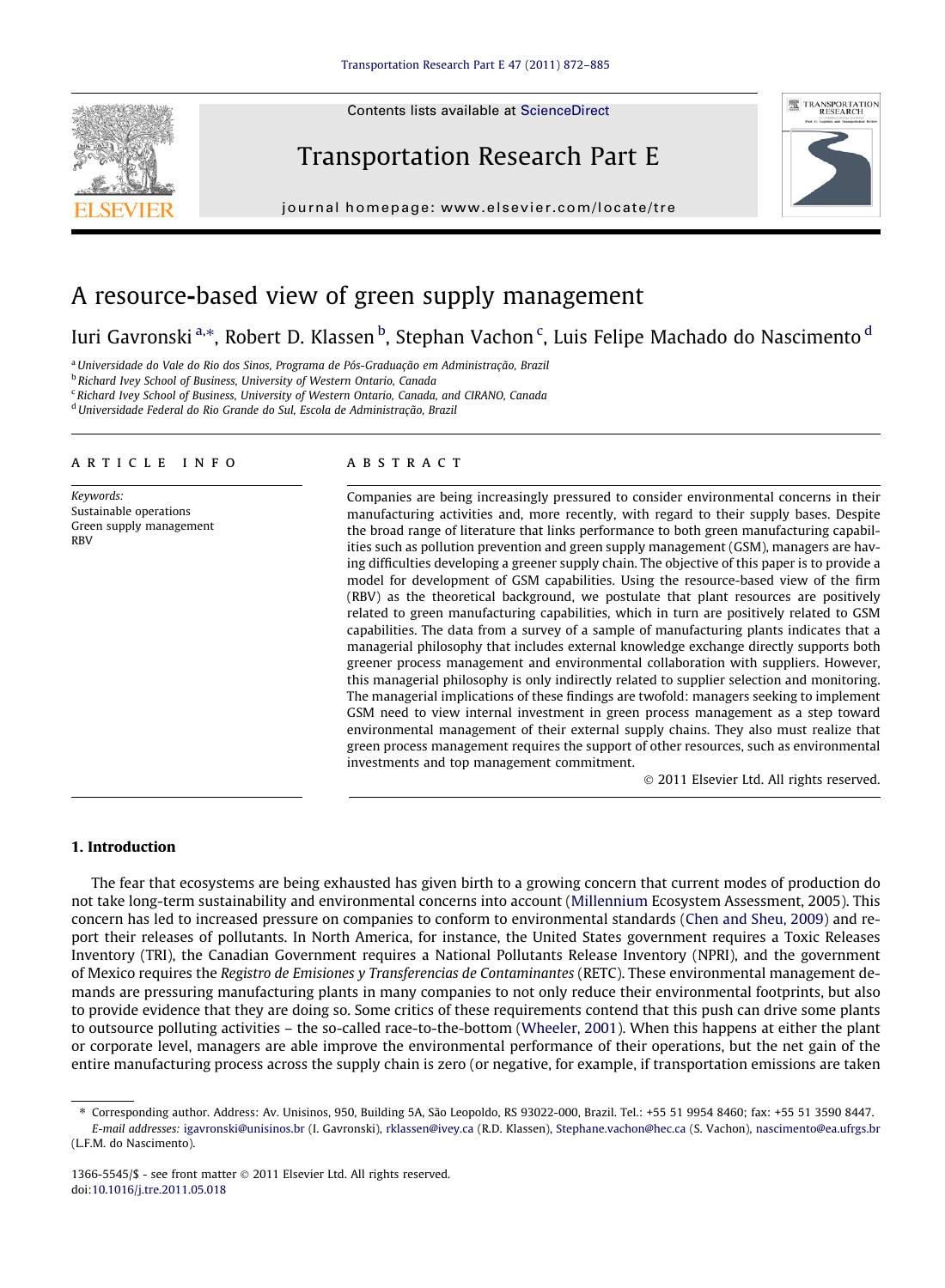Contents lists available at [ScienceDirect](http://www.sciencedirect.com/science/journal/13665545)





journal homepage: [www.elsevier.com/locate/tre](http://www.elsevier.com/locate/tre)

## A resource-based view of green supply management

### Iuri Gavronski<sup>a,</sup>\*, Robert D. Klassen <sup>b</sup>, Stephan Vachon <sup>c</sup>, Luis Felipe Machado do Nascimento <sup>d</sup>

<sup>a</sup> Universidade do Vale do Rio dos Sinos, Programa de Pós-Graduação em Administração, Brazil

**b Richard Ivey School of Business, University of Western Ontario, Canada** 

 $\epsilon$  Richard Ivey School of Business, University of Western Ontario, Canada, and CIRANO, Canada

<sup>d</sup>Universidade Federal do Rio Grande do Sul, Escola de Administração, Brazil

#### article info

Keywords: Sustainable operations Green supply management RBV

#### **ABSTRACT**

Companies are being increasingly pressured to consider environmental concerns in their manufacturing activities and, more recently, with regard to their supply bases. Despite the broad range of literature that links performance to both green manufacturing capabilities such as pollution prevention and green supply management (GSM), managers are having difficulties developing a greener supply chain. The objective of this paper is to provide a model for development of GSM capabilities. Using the resource-based view of the firm (RBV) as the theoretical background, we postulate that plant resources are positively related to green manufacturing capabilities, which in turn are positively related to GSM capabilities. The data from a survey of a sample of manufacturing plants indicates that a managerial philosophy that includes external knowledge exchange directly supports both greener process management and environmental collaboration with suppliers. However, this managerial philosophy is only indirectly related to supplier selection and monitoring. The managerial implications of these findings are twofold: managers seeking to implement GSM need to view internal investment in green process management as a step toward environmental management of their external supply chains. They also must realize that green process management requires the support of other resources, such as environmental investments and top management commitment.

- 2011 Elsevier Ltd. All rights reserved.

### 1. Introduction

The fear that ecosystems are being exhausted has given birth to a growing concern that current modes of production do not take long-term sustainability and environmental concerns into account [\(Millennium](#page--1-0) Ecosystem Assessment, 2005). This concern has led to increased pressure on companies to conform to environmental standards [\(Chen and Sheu, 2009\)](#page--1-0) and report their releases of pollutants. In North America, for instance, the United States government requires a Toxic Releases Inventory (TRI), the Canadian Government requires a National Pollutants Release Inventory (NPRI), and the government of Mexico requires the Registro de Emisiones y Transferencias de Contaminantes (RETC). These environmental management demands are pressuring manufacturing plants in many companies to not only reduce their environmental footprints, but also to provide evidence that they are doing so. Some critics of these requirements contend that this push can drive some plants to outsource polluting activities – the so-called race-to-the-bottom ([Wheeler, 2001\)](#page--1-0). When this happens at either the plant or corporate level, managers are able improve the environmental performance of their operations, but the net gain of the entire manufacturing process across the supply chain is zero (or negative, for example, if transportation emissions are taken

⇑ Corresponding author. Address: Av. Unisinos, 950, Building 5A, São Leopoldo, RS 93022-000, Brazil. Tel.: +55 51 9954 8460; fax: +55 51 3590 8447.

E-mail addresses: [igavronski@unisinos.br](mailto:igavronski@unisinos.br) (I. Gavronski), [rklassen@ivey.ca](mailto:rklassen@ivey.ca ) (R.D. Klassen), [Stephane.vachon@hec.ca](mailto:Stephane.vachon@hec.ca ) (S. Vachon), [nascimento@ea.ufrgs.br](mailto:nascimento@ea.ufrgs.br ) (L.F.M. do Nascimento).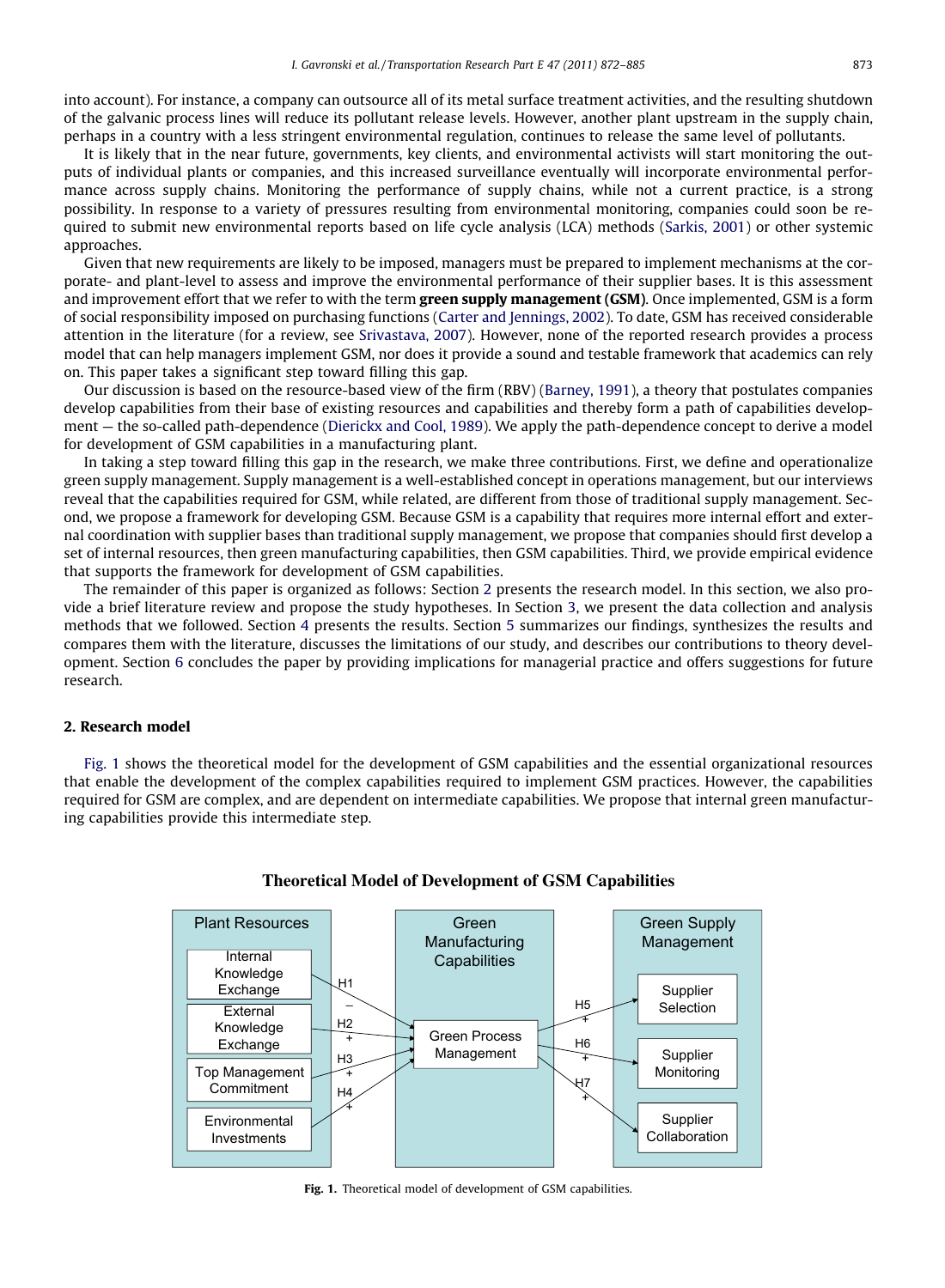into account). For instance, a company can outsource all of its metal surface treatment activities, and the resulting shutdown of the galvanic process lines will reduce its pollutant release levels. However, another plant upstream in the supply chain, perhaps in a country with a less stringent environmental regulation, continues to release the same level of pollutants.

It is likely that in the near future, governments, key clients, and environmental activists will start monitoring the outputs of individual plants or companies, and this increased surveillance eventually will incorporate environmental performance across supply chains. Monitoring the performance of supply chains, while not a current practice, is a strong possibility. In response to a variety of pressures resulting from environmental monitoring, companies could soon be required to submit new environmental reports based on life cycle analysis (LCA) methods [\(Sarkis, 2001\)](#page--1-0) or other systemic approaches.

Given that new requirements are likely to be imposed, managers must be prepared to implement mechanisms at the corporate- and plant-level to assess and improve the environmental performance of their supplier bases. It is this assessment and improvement effort that we refer to with the term green supply management (GSM). Once implemented, GSM is a form of social responsibility imposed on purchasing functions ([Carter and Jennings, 2002\)](#page--1-0). To date, GSM has received considerable attention in the literature (for a review, see [Srivastava, 2007](#page--1-0)). However, none of the reported research provides a process model that can help managers implement GSM, nor does it provide a sound and testable framework that academics can rely on. This paper takes a significant step toward filling this gap.

Our discussion is based on the resource-based view of the firm (RBV) [\(Barney, 1991](#page--1-0)), a theory that postulates companies develop capabilities from their base of existing resources and capabilities and thereby form a path of capabilities development — the so-called path-dependence [\(Dierickx and Cool, 1989](#page--1-0)). We apply the path-dependence concept to derive a model for development of GSM capabilities in a manufacturing plant.

In taking a step toward filling this gap in the research, we make three contributions. First, we define and operationalize green supply management. Supply management is a well-established concept in operations management, but our interviews reveal that the capabilities required for GSM, while related, are different from those of traditional supply management. Second, we propose a framework for developing GSM. Because GSM is a capability that requires more internal effort and external coordination with supplier bases than traditional supply management, we propose that companies should first develop a set of internal resources, then green manufacturing capabilities, then GSM capabilities. Third, we provide empirical evidence that supports the framework for development of GSM capabilities.

The remainder of this paper is organized as follows: Section 2 presents the research model. In this section, we also provide a brief literature review and propose the study hypotheses. In Section 3, we present the data collection and analysis methods that we followed. Section 4 presents the results. Section 5 summarizes our findings, synthesizes the results and compares them with the literature, discusses the limitations of our study, and describes our contributions to theory development. Section 6 concludes the paper by providing implications for managerial practice and offers suggestions for future research.

#### 2. Research model

Fig. 1 shows the theoretical model for the development of GSM capabilities and the essential organizational resources that enable the development of the complex capabilities required to implement GSM practices. However, the capabilities required for GSM are complex, and are dependent on intermediate capabilities. We propose that internal green manufacturing capabilities provide this intermediate step.



#### **Theoretical Model of Development of GSM Capabilities**

Fig. 1. Theoretical model of development of GSM capabilities.